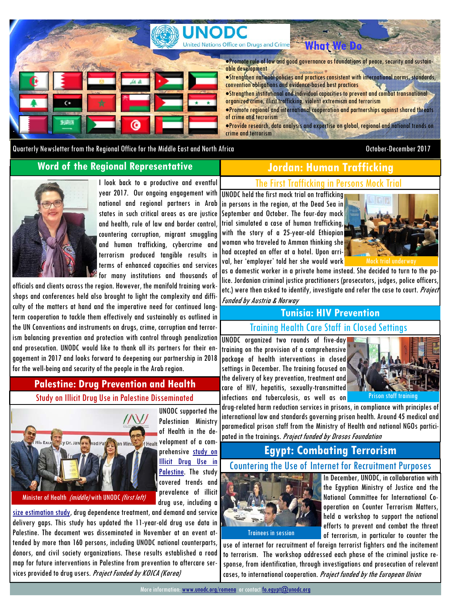

Promote rule of law and good governance as foundations of peace, security and sustainable development

**What** 

Strengthen national policies and practices consistent with international norms, standards, convention obligations and evidence-based best practices

- Strengthen institutional and individual capacities to prevent and combat transnational organized crime, illicit trafficking, violent extremism and terrorism
- Promote regional and international cooperation and partnerships against shared threats of crime and terrorism
- Provide research, data analysis and expertise on global, regional and national trends on crime and terrorism

Quarterly Newsletter from the Regional Office for the Middle East and North Africa **October-December 2017** 

**Word of the Regional Representative** 



I look back to a productive and eventful year 2017. Our ongoing engagement with national and regional partners in Arab states in such critical areas as are justice and health, rule of law and border control, countering corruption, migrant smuggling and human trafficking, cybercrime and terrorism produced tangible results in terms of enhanced capacities and services for many institutions and thousands of

officials and clients across the region. However, the manifold training workshops and conferences held also brought to light the complexity and difficulty of the matters at hand and the imperative need for continued longterm cooperation to tackle them effectively and sustainably as outlined in the UN Conventions and instruments on drugs, crime, corruption and terrorism balancing prevention and protection with control through penalization and prosecution. UNODC would like to thank all its partners for their engagement in 2017 and looks forward to deepening our partnership in 2018 for the well-being and security of the people in the Arab region.

## **Palestine: Drug Prevention and Health**

Study on Illicit Drug Use in Palestine Disseminated



UNODC supported the Palestinian Ministry of Health in the de- $\epsilon_{\text{Health}}$  velopment of a comprehensive study on Illicit Drug Use in Palestine. The study covered trends and prevalence of illicit drug use, including a

size estimation study, drug dependence treatment, and demand and service delivery gaps. This study has updated the 11-year-old drug use data in Palestine. The document was disseminated in November at an event attended by more than 160 persons, including UNODC national counterparts, donors, and civil society organizations. These results established a road map for future interventions in Palestine from prevention to aftercare services provided to drug users. Project Funded by KOICA (Korea)

**Regional: Firearms Workshop in Tunisia Jordan: Human Trafficking**  The First Trafficking in Persons Mock Trial

UNODC held the first mock trial on trafficking in persons in the region, at the Dead Sea in September and October. The four-day mock trial simulated a case of human trafficking, with the story of a 25-year-old Ethiopian woman who traveled to Amman thinking she had accepted an offer at a hotel. Upon arrival, her 'employer' told her she would work

Funded by Austria & Norway



as a domestic worker in a private home instead. She decided to turn to the police. Jordanian criminal justice practitioners (prosecutors, judges, police officers, etc.) were then asked to identify, investigate and refer the case to court. Project

## **Tunisia: HIV Prevention**

Training Health Care Staff in Closed Settings

UNODC organized two rounds of five-day training on the provision of a comprehensive package of health interventions in closed settings in December. The training focused on the delivery of key prevention, treatment and care of HIV, hepatitis, sexually-transmitted infections and tuberculosis, as well as on





drug-related harm reduction services in prisons, in compliance with principles of international law and standards governing prison health. Around 45 medical and paramedical prison staff from the Ministry of Health and national NGOs participated in the trainings. Project funded by Drosos Foundation

## **Egypt: Combating Terrorism**

#### Countering the Use of Internet for Recruitment Purposes



In December, UNODC, in collaboration with the Egyptian Ministry of Justice and the National Committee for International Cooperation on Counter Terrorism Matters, held a workshop to support the national efforts to prevent and combat the threat of terrorism, in particular to counter the

use of internet for recruitment of foreign terrorist fighters and the incitement to terrorism. The workshop addressed each phase of the criminal justice response, from identification, through investigations and prosecution of relevant cases, to international cooperation. Project funded by the European Union